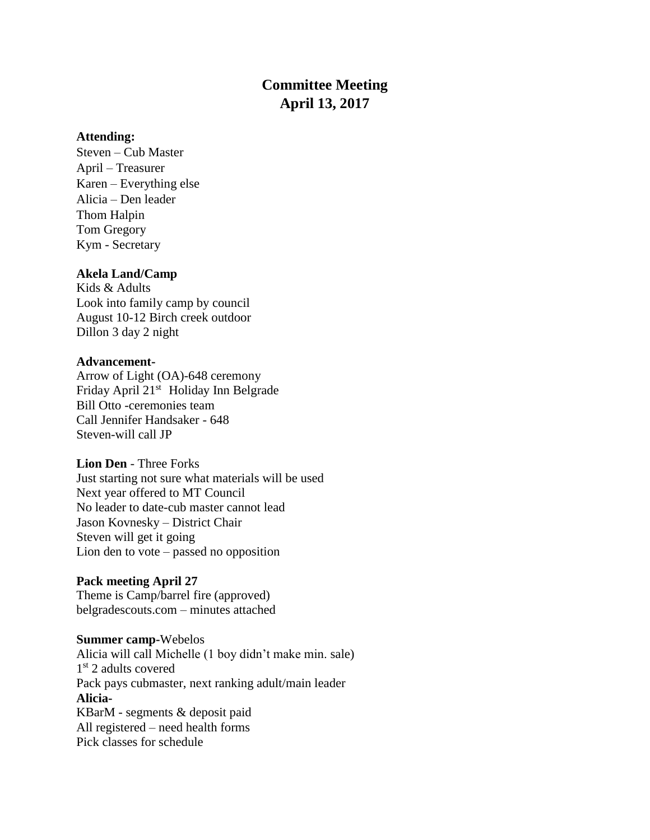# **Committee Meeting April 13, 2017**

#### **Attending:**

Steven – Cub Master April – Treasurer Karen – Everything else Alicia – Den leader Thom Halpin Tom Gregory Kym - Secretary

#### **Akela Land/Camp**

Kids & Adults Look into family camp by council August 10-12 Birch creek outdoor Dillon 3 day 2 night

## **Advancement-**

Arrow of Light (OA)-648 ceremony Friday April 21st Holiday Inn Belgrade Bill Otto -ceremonies team Call Jennifer Handsaker - 648 Steven-will call JP

# **Lion Den** - Three Forks

Just starting not sure what materials will be used Next year offered to MT Council No leader to date-cub master cannot lead Jason Kovnesky – District Chair Steven will get it going Lion den to vote – passed no opposition

**Pack meeting April 27** Theme is Camp/barrel fire (approved) belgradescouts.com – minutes attached

**Summer camp-**Webelos Alicia will call Michelle (1 boy didn't make min. sale) 1st 2 adults covered Pack pays cubmaster, next ranking adult/main leader **Alicia-**KBarM - segments & deposit paid All registered – need health forms Pick classes for schedule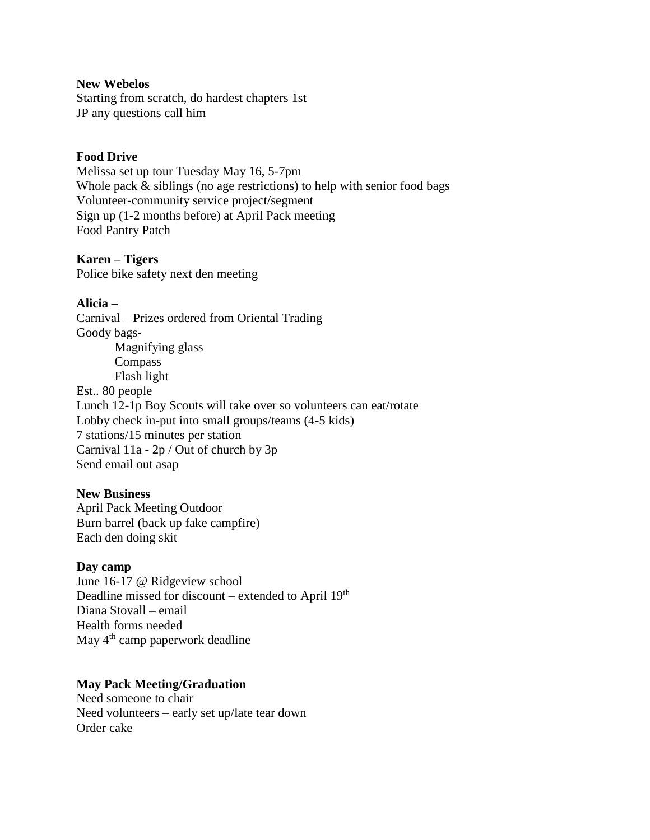#### **New Webelos**

Starting from scratch, do hardest chapters 1st JP any questions call him

#### **Food Drive**

Melissa set up tour Tuesday May 16, 5-7pm Whole pack  $&$  siblings (no age restrictions) to help with senior food bags Volunteer-community service project/segment Sign up (1-2 months before) at April Pack meeting Food Pantry Patch

#### **Karen – Tigers**

Police bike safety next den meeting

## **Alicia –**

Carnival – Prizes ordered from Oriental Trading Goody bags-Magnifying glass Compass Flash light Est.. 80 people Lunch 12-1p Boy Scouts will take over so volunteers can eat/rotate Lobby check in-put into small groups/teams (4-5 kids) 7 stations/15 minutes per station Carnival 11a - 2p / Out of church by 3p Send email out asap

#### **New Business**

April Pack Meeting Outdoor Burn barrel (back up fake campfire) Each den doing skit

#### **Day camp**

June 16-17 @ Ridgeview school Deadline missed for discount – extended to April 19<sup>th</sup> Diana Stovall – email Health forms needed May 4<sup>th</sup> camp paperwork deadline

#### **May Pack Meeting/Graduation**

Need someone to chair Need volunteers – early set up/late tear down Order cake